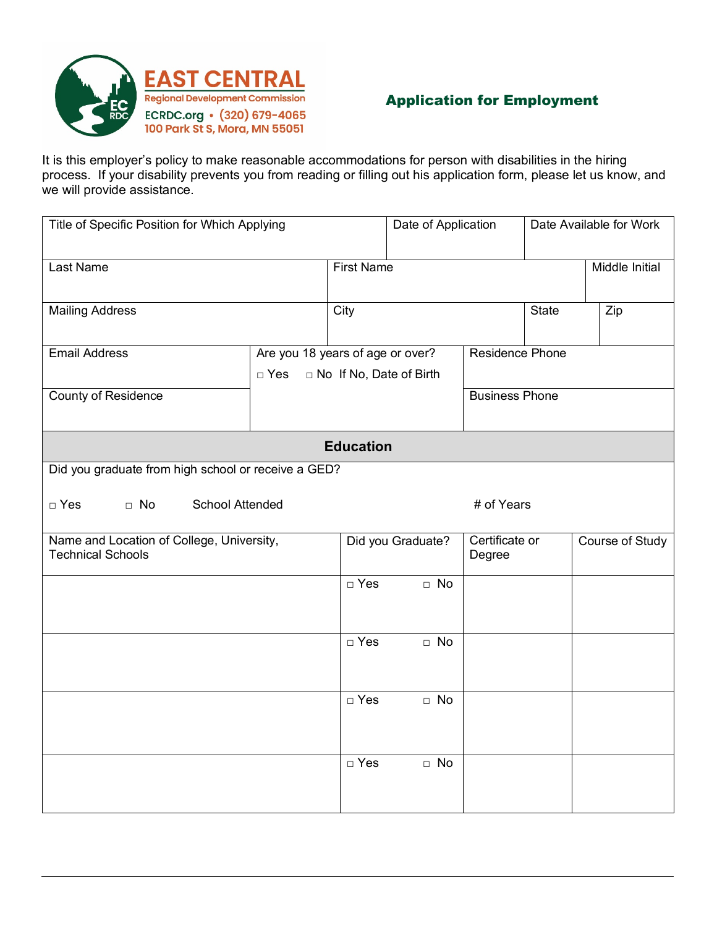

## Application for Employment

It is this employer's policy to make reasonable accommodations for person with disabilities in the hiring process. If your disability prevents you from reading or filling out his application form, please let us know, and we will provide assistance.

| Title of Specific Position for Which Applying                         |                                                                             | Date of Application |                   | Date Available for Work |                                             |                |  |
|-----------------------------------------------------------------------|-----------------------------------------------------------------------------|---------------------|-------------------|-------------------------|---------------------------------------------|----------------|--|
| Last Name                                                             |                                                                             | <b>First Name</b>   |                   |                         |                                             | Middle Initial |  |
| <b>Mailing Address</b>                                                |                                                                             | City                |                   |                         | <b>State</b>                                | Zip            |  |
| <b>Email Address</b>                                                  | Are you 18 years of age or over?<br>□ No If No, Date of Birth<br>$\Box$ Yes |                     |                   | Residence Phone         |                                             |                |  |
| <b>County of Residence</b>                                            | <b>Business Phone</b>                                                       |                     |                   |                         |                                             |                |  |
| <b>Education</b>                                                      |                                                                             |                     |                   |                         |                                             |                |  |
| Did you graduate from high school or receive a GED?                   |                                                                             |                     |                   |                         |                                             |                |  |
| <b>School Attended</b><br>$\Box$ No<br>$\Box$ Yes                     |                                                                             |                     |                   | # of Years              |                                             |                |  |
| Name and Location of College, University,<br><b>Technical Schools</b> |                                                                             |                     | Did you Graduate? |                         | Course of Study<br>Certificate or<br>Degree |                |  |
|                                                                       |                                                                             | $\Box$ Yes          | $\Box$ No         |                         |                                             |                |  |
|                                                                       |                                                                             | $\Box$ Yes          | $\Box$ No         |                         |                                             |                |  |
|                                                                       |                                                                             | $\Box$ Yes          | $\Box$ No         |                         |                                             |                |  |
|                                                                       |                                                                             | $\Box$ Yes          | $\Box$ No         |                         |                                             |                |  |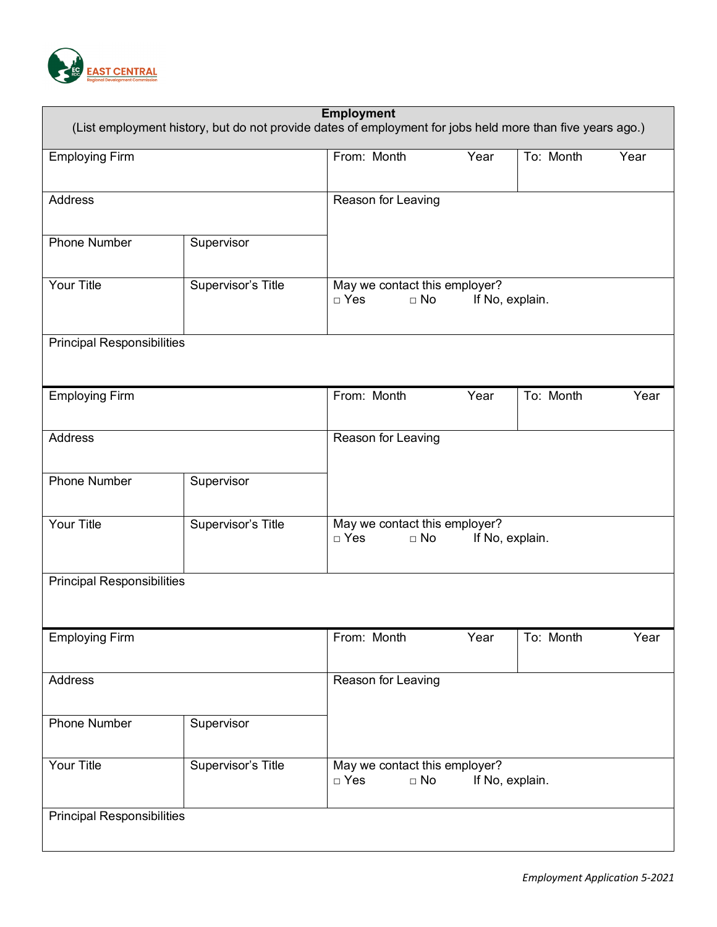

| <b>Employment</b><br>(List employment history, but do not provide dates of employment for jobs held more than five years ago.) |                    |                                                                             |                 |           |      |  |  |
|--------------------------------------------------------------------------------------------------------------------------------|--------------------|-----------------------------------------------------------------------------|-----------------|-----------|------|--|--|
| Employing Firm                                                                                                                 |                    | From: Month                                                                 | Year            | To: Month | Year |  |  |
| Address                                                                                                                        |                    | Reason for Leaving                                                          |                 |           |      |  |  |
| <b>Phone Number</b>                                                                                                            | Supervisor         |                                                                             |                 |           |      |  |  |
| <b>Your Title</b>                                                                                                              | Supervisor's Title | May we contact this employer?<br>$\Box$ No<br>If No, explain.<br>$\Box$ Yes |                 |           |      |  |  |
| <b>Principal Responsibilities</b>                                                                                              |                    |                                                                             |                 |           |      |  |  |
| <b>Employing Firm</b>                                                                                                          |                    | From: Month                                                                 | Year            | To: Month | Year |  |  |
| <b>Address</b>                                                                                                                 |                    | Reason for Leaving                                                          |                 |           |      |  |  |
| <b>Phone Number</b>                                                                                                            | Supervisor         |                                                                             |                 |           |      |  |  |
| <b>Your Title</b>                                                                                                              | Supervisor's Title | May we contact this employer?<br>$\Box$ Yes<br>If No, explain.<br>$\Box$ No |                 |           |      |  |  |
| <b>Principal Responsibilities</b>                                                                                              |                    |                                                                             |                 |           |      |  |  |
| <b>Employing Firm</b>                                                                                                          |                    | From: Month                                                                 | Year            | To: Month | Year |  |  |
| Address                                                                                                                        |                    | Reason for Leaving                                                          |                 |           |      |  |  |
| Phone Number                                                                                                                   | Supervisor         |                                                                             |                 |           |      |  |  |
| Your Title                                                                                                                     | Supervisor's Title | May we contact this employer?<br>$\Box$ No<br>$\Box$ Yes                    | If No, explain. |           |      |  |  |
| <b>Principal Responsibilities</b>                                                                                              |                    |                                                                             |                 |           |      |  |  |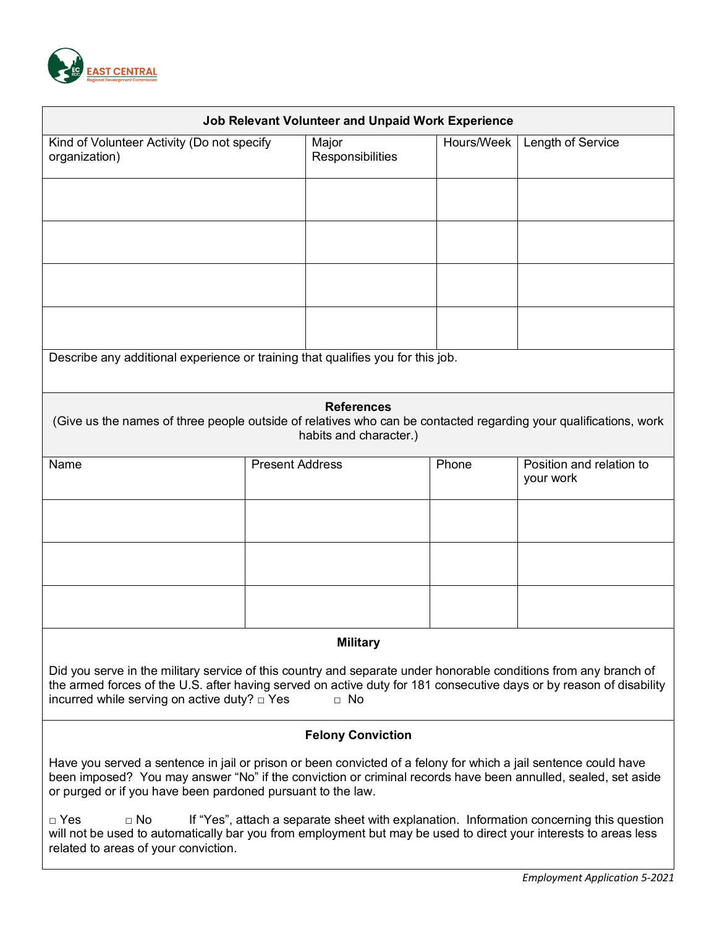

| <b>Job Relevant Volunteer and Unpaid Work Experience</b>                                                                                                                                                                                                                                                     |                        |                           |            |                                       |  |  |  |
|--------------------------------------------------------------------------------------------------------------------------------------------------------------------------------------------------------------------------------------------------------------------------------------------------------------|------------------------|---------------------------|------------|---------------------------------------|--|--|--|
| Kind of Volunteer Activity (Do not specify<br>organization)                                                                                                                                                                                                                                                  |                        | Major<br>Responsibilities | Hours/Week | Length of Service                     |  |  |  |
|                                                                                                                                                                                                                                                                                                              |                        |                           |            |                                       |  |  |  |
|                                                                                                                                                                                                                                                                                                              |                        |                           |            |                                       |  |  |  |
|                                                                                                                                                                                                                                                                                                              |                        |                           |            |                                       |  |  |  |
|                                                                                                                                                                                                                                                                                                              |                        |                           |            |                                       |  |  |  |
| Describe any additional experience or training that qualifies you for this job.                                                                                                                                                                                                                              |                        |                           |            |                                       |  |  |  |
| <b>References</b><br>(Give us the names of three people outside of relatives who can be contacted regarding your qualifications, work<br>habits and character.)                                                                                                                                              |                        |                           |            |                                       |  |  |  |
| Name                                                                                                                                                                                                                                                                                                         | <b>Present Address</b> |                           | Phone      | Position and relation to<br>your work |  |  |  |
|                                                                                                                                                                                                                                                                                                              |                        |                           |            |                                       |  |  |  |
|                                                                                                                                                                                                                                                                                                              |                        |                           |            |                                       |  |  |  |
|                                                                                                                                                                                                                                                                                                              |                        |                           |            |                                       |  |  |  |
| <b>Military</b>                                                                                                                                                                                                                                                                                              |                        |                           |            |                                       |  |  |  |
| Did you serve in the military service of this country and separate under honorable conditions from any branch of<br>the armed forces of the U.S. after having served on active duty for 181 consecutive days or by reason of disability<br>incurred while serving on active duty? $\square$ Yes<br>$\Box$ No |                        |                           |            |                                       |  |  |  |
| <b>Felony Conviction</b>                                                                                                                                                                                                                                                                                     |                        |                           |            |                                       |  |  |  |
| Have you served a sentence in jail or prison or been convicted of a felony for which a jail sentence could have<br>been imposed? You may answer "No" if the conviction or criminal records have been annulled, sealed, set aside<br>or purged or if you have been pardoned pursuant to the law.              |                        |                           |            |                                       |  |  |  |
| $\Box$ Yes<br>$\Box$ No<br>If "Yes", attach a separate sheet with explanation. Information concerning this question<br>will not be used to automatically bar you from employment but may be used to direct your interests to areas less<br>related to areas of your conviction.                              |                        |                           |            |                                       |  |  |  |